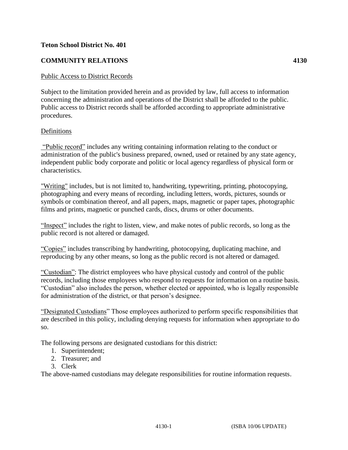### **Teton School District No. 401**

## **COMMUNITY RELATIONS 4130**

#### Public Access to District Records

Subject to the limitation provided herein and as provided by law, full access to information concerning the administration and operations of the District shall be afforded to the public. Public access to District records shall be afforded according to appropriate administrative procedures.

#### Definitions

"Public record" includes any writing containing information relating to the conduct or administration of the public's business prepared, owned, used or retained by any state agency, independent public body corporate and politic or local agency regardless of physical form or characteristics.

"Writing" includes, but is not limited to, handwriting, typewriting, printing, photocopying, photographing and every means of recording, including letters, words, pictures, sounds or symbols or combination thereof, and all papers, maps, magnetic or paper tapes, photographic films and prints, magnetic or punched cards, discs, drums or other documents.

"Inspect" includes the right to listen, view, and make notes of public records, so long as the public record is not altered or damaged.

"Copies" includes transcribing by handwriting, photocopying, duplicating machine, and reproducing by any other means, so long as the public record is not altered or damaged.

"Custodian": The district employees who have physical custody and control of the public records, including those employees who respond to requests for information on a routine basis. "Custodian" also includes the person, whether elected or appointed, who is legally responsible for administration of the district, or that person's designee.

"Designated Custodians" Those employees authorized to perform specific responsibilities that are described in this policy, including denying requests for information when appropriate to do so.

The following persons are designated custodians for this district:

- 1. Superintendent;
- 2. Treasurer; and
- 3. Clerk

The above-named custodians may delegate responsibilities for routine information requests.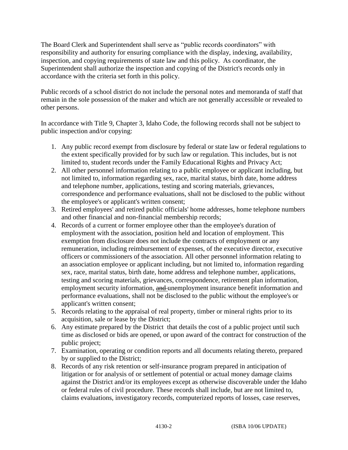The Board Clerk and Superintendent shall serve as "public records coordinators" with responsibility and authority for ensuring compliance with the display, indexing, availability, inspection, and copying requirements of state law and this policy. As coordinator, the Superintendent shall authorize the inspection and copying of the District's records only in accordance with the criteria set forth in this policy.

Public records of a school district do not include the personal notes and memoranda of staff that remain in the sole possession of the maker and which are not generally accessible or revealed to other persons.

In accordance with Title 9, Chapter 3, Idaho Code, the following records shall not be subject to public inspection and/or copying:

- 1. Any public record exempt from disclosure by federal or state law or federal regulations to the extent specifically provided for by such law or regulation. This includes, but is not limited to, student records under the Family Educational Rights and Privacy Act;
- 2. All other personnel information relating to a public employee or applicant including, but not limited to, information regarding sex, race, marital status, birth date, home address and telephone number, applications, testing and scoring materials, grievances, correspondence and performance evaluations, shall not be disclosed to the public without the employee's or applicant's written consent;
- 3. Retired employees' and retired public officials' home addresses, home telephone numbers and other financial and non-financial membership records;
- 4. Records of a current or former employee other than the employee's duration of employment with the association, position held and location of employment. This exemption from disclosure does not include the contracts of employment or any remuneration, including reimbursement of expenses, of the executive director, executive officers or commissioners of the association. All other personnel information relating to an association employee or applicant including, but not limited to, information regarding sex, race, marital status, birth date, home address and telephone number, applications, testing and scoring materials, grievances, correspondence, retirement plan information, employment security information, and unemployment insurance benefit information and performance evaluations, shall not be disclosed to the public without the employee's or applicant's written consent;
- 5. Records relating to the appraisal of real property, timber or mineral rights prior to its acquisition, sale or lease by the District;
- 6. Any estimate prepared by the District that details the cost of a public project until such time as disclosed or bids are opened, or upon award of the contract for construction of the public project;
- 7. Examination, operating or condition reports and all documents relating thereto, prepared by or supplied to the District;
- 8. Records of any risk retention or self-insurance program prepared in anticipation of litigation or for analysis of or settlement of potential or actual money damage claims against the District and/or its employees except as otherwise discoverable under the Idaho or federal rules of civil procedure. These records shall include, but are not limited to, claims evaluations, investigatory records, computerized reports of losses, case reserves,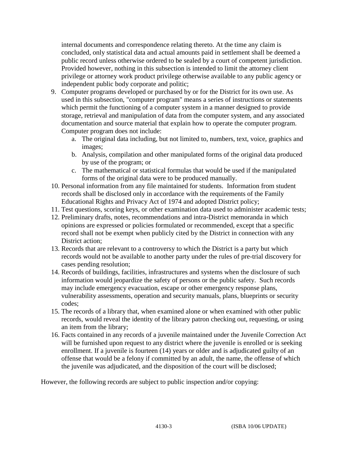internal documents and correspondence relating thereto. At the time any claim is concluded, only statistical data and actual amounts paid in settlement shall be deemed a public record unless otherwise ordered to be sealed by a court of competent jurisdiction. Provided however, nothing in this subsection is intended to limit the attorney client privilege or attorney work product privilege otherwise available to any public agency or independent public body corporate and politic;

- 9. Computer programs developed or purchased by or for the District for its own use. As used in this subsection, "computer program" means a series of instructions or statements which permit the functioning of a computer system in a manner designed to provide storage, retrieval and manipulation of data from the computer system, and any associated documentation and source material that explain how to operate the computer program. Computer program does not include:
	- a. The original data including, but not limited to, numbers, text, voice, graphics and images;
	- b. Analysis, compilation and other manipulated forms of the original data produced by use of the program; or
	- c. The mathematical or statistical formulas that would be used if the manipulated forms of the original data were to be produced manually.
- 10. Personal information from any file maintained for students. Information from student records shall be disclosed only in accordance with the requirements of the Family Educational Rights and Privacy Act of 1974 and adopted District policy;
- 11. Test questions, scoring keys, or other examination data used to administer academic tests;
- 12. Preliminary drafts, notes, recommendations and intra-District memoranda in which opinions are expressed or policies formulated or recommended, except that a specific record shall not be exempt when publicly cited by the District in connection with any District action;
- 13. Records that are relevant to a controversy to which the District is a party but which records would not be available to another party under the rules of pre-trial discovery for cases pending resolution;
- 14. Records of buildings, facilities, infrastructures and systems when the disclosure of such information would jeopardize the safety of persons or the public safety. Such records may include emergency evacuation, escape or other emergency response plans, vulnerability assessments, operation and security manuals, plans, blueprints or security codes;
- 15. The records of a library that, when examined alone or when examined with other public records, would reveal the identity of the library patron checking out, requesting, or using an item from the library;
- 16. Facts contained in any records of a juvenile maintained under the Juvenile Correction Act will be furnished upon request to any district where the juvenile is enrolled or is seeking enrollment. If a juvenile is fourteen (14) years or older and is adjudicated guilty of an offense that would be a felony if committed by an adult, the name, the offense of which the juvenile was adjudicated, and the disposition of the court will be disclosed;

However, the following records are subject to public inspection and/or copying: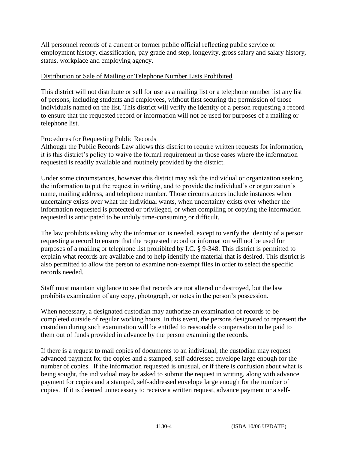All personnel records of a current or former public official reflecting public service or employment history, classification, pay grade and step, longevity, gross salary and salary history, status, workplace and employing agency.

### Distribution or Sale of Mailing or Telephone Number Lists Prohibited

This district will not distribute or sell for use as a mailing list or a telephone number list any list of persons, including students and employees, without first securing the permission of those individuals named on the list. This district will verify the identity of a person requesting a record to ensure that the requested record or information will not be used for purposes of a mailing or telephone list.

### Procedures for Requesting Public Records

Although the Public Records Law allows this district to require written requests for information, it is this district's policy to waive the formal requirement in those cases where the information requested is readily available and routinely provided by the district.

Under some circumstances, however this district may ask the individual or organization seeking the information to put the request in writing, and to provide the individual's or organization's name, mailing address, and telephone number. Those circumstances include instances when uncertainty exists over what the individual wants, when uncertainty exists over whether the information requested is protected or privileged, or when compiling or copying the information requested is anticipated to be unduly time-consuming or difficult.

The law prohibits asking why the information is needed, except to verify the identity of a person requesting a record to ensure that the requested record or information will not be used for purposes of a mailing or telephone list prohibited by I.C. § 9-348. This district is permitted to explain what records are available and to help identify the material that is desired. This district is also permitted to allow the person to examine non-exempt files in order to select the specific records needed.

Staff must maintain vigilance to see that records are not altered or destroyed, but the law prohibits examination of any copy, photograph, or notes in the person's possession.

When necessary, a designated custodian may authorize an examination of records to be completed outside of regular working hours. In this event, the persons designated to represent the custodian during such examination will be entitled to reasonable compensation to be paid to them out of funds provided in advance by the person examining the records.

If there is a request to mail copies of documents to an individual, the custodian may request advanced payment for the copies and a stamped, self-addressed envelope large enough for the number of copies. If the information requested is unusual, or if there is confusion about what is being sought, the individual may be asked to submit the request in writing, along with advance payment for copies and a stamped, self-addressed envelope large enough for the number of copies. If it is deemed unnecessary to receive a written request, advance payment or a self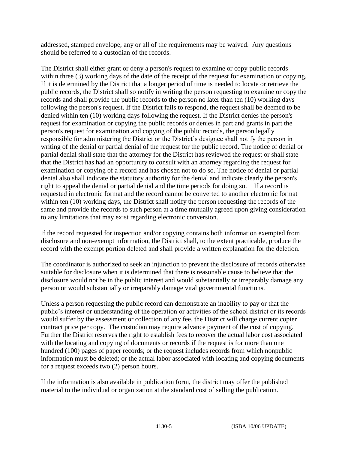addressed, stamped envelope, any or all of the requirements may be waived. Any questions should be referred to a custodian of the records.

The District shall either grant or deny a person's request to examine or copy public records within three (3) working days of the date of the receipt of the request for examination or copying. If it is determined by the District that a longer period of time is needed to locate or retrieve the public records, the District shall so notify in writing the person requesting to examine or copy the records and shall provide the public records to the person no later than ten (10) working days following the person's request. If the District fails to respond, the request shall be deemed to be denied within ten (10) working days following the request. If the District denies the person's request for examination or copying the public records or denies in part and grants in part the person's request for examination and copying of the public records, the person legally responsible for administering the District or the District's designee shall notify the person in writing of the denial or partial denial of the request for the public record. The notice of denial or partial denial shall state that the attorney for the District has reviewed the request or shall state that the District has had an opportunity to consult with an attorney regarding the request for examination or copying of a record and has chosen not to do so. The notice of denial or partial denial also shall indicate the statutory authority for the denial and indicate clearly the person's right to appeal the denial or partial denial and the time periods for doing so. If a record is requested in electronic format and the record cannot be converted to another electronic format within ten (10) working days, the District shall notify the person requesting the records of the same and provide the records to such person at a time mutually agreed upon giving consideration to any limitations that may exist regarding electronic conversion.

If the record requested for inspection and/or copying contains both information exempted from disclosure and non-exempt information, the District shall, to the extent practicable, produce the record with the exempt portion deleted and shall provide a written explanation for the deletion.

The coordinator is authorized to seek an injunction to prevent the disclosure of records otherwise suitable for disclosure when it is determined that there is reasonable cause to believe that the disclosure would not be in the public interest and would substantially or irreparably damage any person or would substantially or irreparably damage vital governmental functions.

Unless a person requesting the public record can demonstrate an inability to pay or that the public's interest or understanding of the operation or activities of the school district or its records would suffer by the assessment or collection of any fee, the District will charge current copier contract price per copy. The custodian may require advance payment of the cost of copying. Further the District reserves the right to establish fees to recover the actual labor cost associated with the locating and copying of documents or records if the request is for more than one hundred (100) pages of paper records; or the request includes records from which nonpublic information must be deleted; or the actual labor associated with locating and copying documents for a request exceeds two (2) person hours.

If the information is also available in publication form, the district may offer the published material to the individual or organization at the standard cost of selling the publication.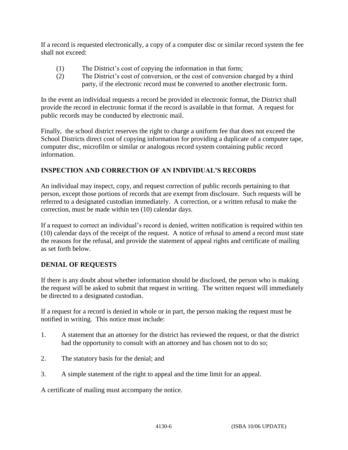If a record is requested electronically, a copy of a computer disc or similar record system the fee shall not exceed:

- (1) The District's cost of copying the information in that form;
- (2) The District's cost of conversion, or the cost of conversion charged by a third party, if the electronic record must be converted to another electronic form.

In the event an individual requests a record be provided in electronic format, the District shall provide the record in electronic format if the record is available in that format. A request for public records may be conducted by electronic mail.

Finally, the school district reserves the right to charge a uniform fee that does not exceed the School Districts direct cost of copying information for providing a duplicate of a computer tape, computer disc, microfilm or similar or analogous record system containing public record information.

# **INSPECTION AND CORRECTION OF AN INDIVIDUAL'S RECORDS**

An individual may inspect, copy, and request correction of public records pertaining to that person, except those portions of records that are exempt from disclosure. Such requests will be referred to a designated custodian immediately. A correction, or a written refusal to make the correction, must be made within ten (10) calendar days.

If a request to correct an individual's record is denied, written notification is required within ten (10) calendar days of the receipt of the request. A notice of refusal to amend a record must state the reasons for the refusal, and provide the statement of appeal rights and certificate of mailing as set forth below.

# **DENIAL OF REQUESTS**

If there is any doubt about whether information should be disclosed, the person who is making the request will be asked to submit that request in writing. The written request will immediately be directed to a designated custodian.

If a request for a record is denied in whole or in part, the person making the request must be notified in writing. This notice must include:

- 1. A statement that an attorney for the district has reviewed the request, or that the district had the opportunity to consult with an attorney and has chosen not to do so;
- 2. The statutory basis for the denial; and
- 3. A simple statement of the right to appeal and the time limit for an appeal.

A certificate of mailing must accompany the notice.